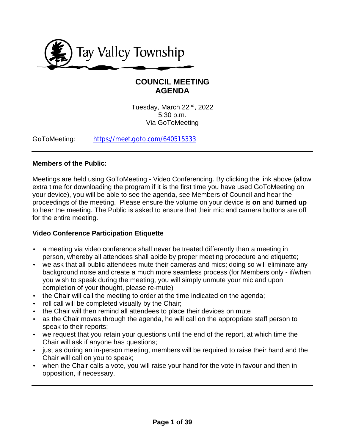

# **COUNCIL MEETING AGENDA**

Tuesday, March 22nd, 2022 5:30 p.m. Via GoToMeeting

GoToMeeting: [https://meet.goto.com/640515333](https://meet.goto.com/640515333?_ga=2.168342433.1877454168.1646844680-459372744.1628017275)

## **Members of the Public:**

Meetings are held using GoToMeeting - Video Conferencing. By clicking the link above (allow extra time for downloading the program if it is the first time you have used GoToMeeting on your device), you will be able to see the agenda, see Members of Council and hear the proceedings of the meeting. Please ensure the volume on your device is **on** and **turned up** to hear the meeting. The Public is asked to ensure that their mic and camera buttons are off for the entire meeting.

# **Video Conference Participation Etiquette**

- a meeting via video conference shall never be treated differently than a meeting in person, whereby all attendees shall abide by proper meeting procedure and etiquette;
- we ask that all public attendees mute their cameras and mics; doing so will eliminate any background noise and create a much more seamless process (for Members only - if/when you wish to speak during the meeting, you will simply unmute your mic and upon completion of your thought, please re-mute)
- the Chair will call the meeting to order at the time indicated on the agenda;
- roll call will be completed visually by the Chair;
- the Chair will then remind all attendees to place their devices on mute
- as the Chair moves through the agenda, he will call on the appropriate staff person to speak to their reports;
- we request that you retain your questions until the end of the report, at which time the Chair will ask if anyone has questions;
- just as during an in-person meeting, members will be required to raise their hand and the Chair will call on you to speak;
- when the Chair calls a vote, you will raise your hand for the vote in favour and then in opposition, if necessary.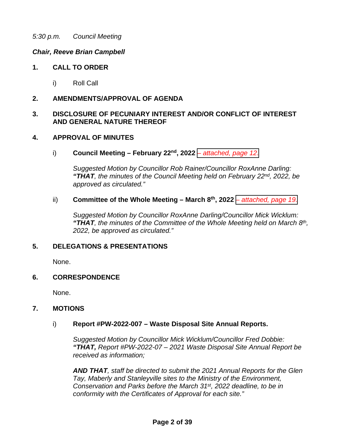#### *Chair, Reeve Brian Campbell*

#### **1. CALL TO ORDER**

i) Roll Call

#### **2. AMENDMENTS/APPROVAL OF AGENDA**

#### **3. DISCLOSURE OF PECUNIARY INTEREST AND/OR CONFLICT OF INTEREST AND GENERAL NATURE THEREOF**

#### **4. APPROVAL OF MINUTES**

i) **Council Meeting – February 22nd, 2022** *[– attached, page](#page-11-0) 12.* 

*Suggested Motion by Councillor Rob Rainer/Councillor RoxAnne Darling: "THAT, the minutes of the Council Meeting held on February 22nd, 2022, be approved as circulated."*

#### ii) **Committee of the Whole Meeting – March 8th, 2022** *[– attached, page 19.](#page-18-0)*

*Suggested Motion by Councillor RoxAnne Darling/Councillor Mick Wicklum: "THAT, the minutes of the Committee of the Whole Meeting held on March 8th, 2022, be approved as circulated."*

#### **5. DELEGATIONS & PRESENTATIONS**

None.

#### **6. CORRESPONDENCE**

None.

#### **7. MOTIONS**

#### i) **Report #PW-2022-007 – Waste Disposal Site Annual Reports.**

*Suggested Motion by Councillor Mick Wicklum/Councillor Fred Dobbie: "THAT, Report #PW-2022-07 – 2021 Waste Disposal Site Annual Report be received as information;*

*AND THAT, staff be directed to submit the 2021 Annual Reports for the Glen Tay, Maberly and Stanleyville sites to the Ministry of the Environment, Conservation and Parks before the March 31st, 2022 deadline, to be in conformity with the Certificates of Approval for each site."*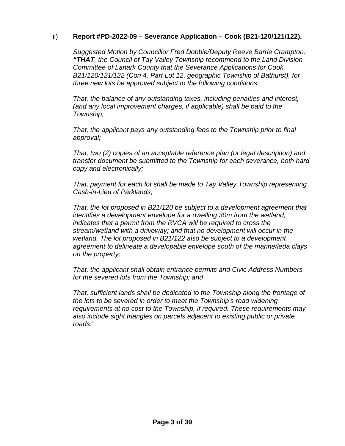## ii) **Report #PD-2022-09 – Severance Application – Cook (B21-120/121/122).**

*Suggested Motion by Councillor Fred Dobbie/Deputy Reeve Barrie Crampton: "THAT, the Council of Tay Valley Township recommend to the Land Division Committee of Lanark County that the Severance Applications for Cook B21/120/121/122 (Con 4, Part Lot 12, geographic Township of Bathurst), for three new lots be approved subject to the following conditions:*

*That, the balance of any outstanding taxes, including penalties and interest, (and any local improvement charges, if applicable) shall be paid to the Township;*

*That, the applicant pays any outstanding fees to the Township prior to final approval;*

*That, two (2) copies of an acceptable reference plan (or legal description) and transfer document be submitted to the Township for each severance, both hard copy and electronically;*

*That, payment for each lot shall be made to Tay Valley Township representing Cash-in-Lieu of Parklands;*

*That, the lot proposed in B21/120 be subject to a development agreement that identifies a development envelope for a dwelling 30m from the wetland; indicates that a permit from the RVCA will be required to cross the stream/wetland with a driveway; and that no development will occur in the wetland. The lot proposed in B21/122 also be subject to a development agreement to delineate a developable envelope south of the marine/leda clays on the property;*

*That, the applicant shall obtain entrance permits and Civic Address Numbers for the severed lots from the Township; and*

*That, sufficient lands shall be dedicated to the Township along the frontage of the lots to be severed in order to meet the Township's road widening requirements at no cost to the Township, if required. These requirements may also include sight triangles on parcels adjacent to existing public or private roads."*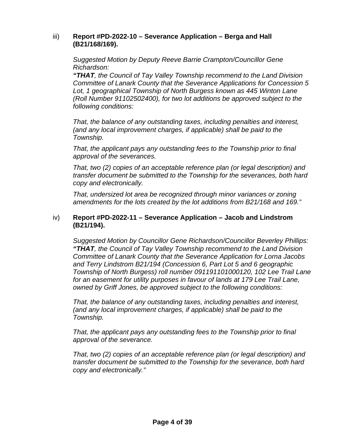#### iii) **Report #PD-2022-10 – Severance Application – Berga and Hall (B21/168/169).**

*Suggested Motion by Deputy Reeve Barrie Crampton/Councillor Gene Richardson:* 

*"THAT, the Council of Tay Valley Township recommend to the Land Division Committee of Lanark County that the Severance Applications for Concession 5 Lot, 1 geographical Township of North Burgess known as 445 Winton Lane (Roll Number 91102502400), for two lot additions be approved subject to the following conditions:*

*That, the balance of any outstanding taxes, including penalties and interest, (and any local improvement charges, if applicable) shall be paid to the Township.* 

*That, the applicant pays any outstanding fees to the Township prior to final approval of the severances.*

*That, two (2) copies of an acceptable reference plan (or legal description) and transfer document be submitted to the Township for the severances, both hard copy and electronically.*

*That, undersized lot area be recognized through minor variances or zoning amendments for the lots created by the lot additions from B21/168 and 169."*

#### iv) **Report #PD-2022-11 – Severance Application – Jacob and Lindstrom (B21/194).**

*Suggested Motion by Councillor Gene Richardson/Councillor Beverley Phillips: "THAT, the Council of Tay Valley Township recommend to the Land Division Committee of Lanark County that the Severance Application for Lorna Jacobs and Terry Lindstrom B21/194 (Concession 6, Part Lot 5 and 6 geographic Township of North Burgess) roll number 091191101000120, 102 Lee Trail Lane*  for an easement for utility purposes in favour of lands at 179 Lee Trail Lane, *owned by Griff Jones, be approved subject to the following conditions:*

*That, the balance of any outstanding taxes, including penalties and interest, (and any local improvement charges, if applicable) shall be paid to the Township.* 

*That, the applicant pays any outstanding fees to the Township prior to final approval of the severance.*

*That, two (2) copies of an acceptable reference plan (or legal description) and transfer document be submitted to the Township for the severance, both hard copy and electronically."*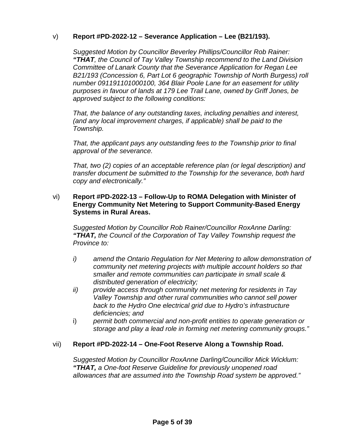## v) **Report #PD-2022-12 – Severance Application – Lee (B21/193).**

*Suggested Motion by Councillor Beverley Phillips/Councillor Rob Rainer: "THAT, the Council of Tay Valley Township recommend to the Land Division Committee of Lanark County that the Severance Application for Regan Lee B21/193 (Concession 6, Part Lot 6 geographic Township of North Burgess) roll number 091191101000100, 364 Blair Poole Lane for an easement for utility purposes in favour of lands at 179 Lee Trail Lane, owned by Griff Jones, be approved subject to the following conditions:*

*That, the balance of any outstanding taxes, including penalties and interest, (and any local improvement charges, if applicable) shall be paid to the Township.* 

*That, the applicant pays any outstanding fees to the Township prior to final approval of the severance.*

*That, two (2) copies of an acceptable reference plan (or legal description) and transfer document be submitted to the Township for the severance, both hard copy and electronically."*

#### vi) **Report #PD-2022-13 – Follow-Up to ROMA Delegation with Minister of Energy Community Net Metering to Support Community-Based Energy Systems in Rural Areas.**

*Suggested Motion by Councillor Rob Rainer/Councillor RoxAnne Darling: "THAT, the Council of the Corporation of Tay Valley Township request the Province to:*

- *i) amend the Ontario Regulation for Net Metering to allow demonstration of community net metering projects with multiple account holders so that smaller and remote communities can participate in small scale & distributed generation of electricity;*
- *ii) provide access through community net metering for residents in Tay Valley Township and other rural communities who cannot sell power back to the Hydro One electrical grid due to Hydro's infrastructure deficiencies; and*
- i) *permit both commercial and non-profit entities to operate generation or storage and play a lead role in forming net metering community groups."*

#### vii) **Report #PD-2022-14 – One-Foot Reserve Along a Township Road.**

*Suggested Motion by Councillor RoxAnne Darling/Councillor Mick Wicklum: "THAT, a One-foot Reserve Guideline for previously unopened road allowances that are assumed into the Township Road system be approved."*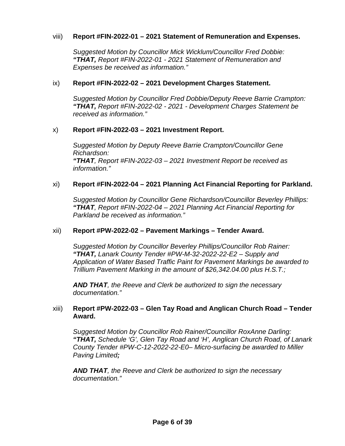#### viii) **Report #FIN-2022-01 – 2021 Statement of Remuneration and Expenses.**

*Suggested Motion by Councillor Mick Wicklum/Councillor Fred Dobbie: "THAT, Report #FIN-2022-01 - 2021 Statement of Remuneration and Expenses be received as information."*

#### ix) **Report #FIN-2022-02 – 2021 Development Charges Statement.**

*Suggested Motion by Councillor Fred Dobbie/Deputy Reeve Barrie Crampton: "THAT, Report #FIN-2022-02 - 2021 - Development Charges Statement be received as information."*

## x) **Report #FIN-2022-03 – 2021 Investment Report.**

*Suggested Motion by Deputy Reeve Barrie Crampton/Councillor Gene Richardson: "THAT, Report #FIN-2022-03 – 2021 Investment Report be received as information."*

#### xi) **Report #FIN-2022-04 – 2021 Planning Act Financial Reporting for Parkland.**

*Suggested Motion by Councillor Gene Richardson/Councillor Beverley Phillips: "THAT, Report #FIN-2022-04 – 2021 Planning Act Financial Reporting for Parkland be received as information."*

#### xii) **Report #PW-2022-02 – Pavement Markings – Tender Award.**

*Suggested Motion by Councillor Beverley Phillips/Councillor Rob Rainer: "THAT, Lanark County Tender #PW-M-32-2022-22-E2 – Supply and Application of Water Based Traffic Paint for Pavement Markings be awarded to Trillium Pavement Marking in the amount of \$26,342.04.00 plus H.S.T.;* 

*AND THAT, the Reeve and Clerk be authorized to sign the necessary documentation."* 

#### xiii) **Report #PW-2022-03 – Glen Tay Road and Anglican Church Road – Tender Award.**

*Suggested Motion by Councillor Rob Rainer/Councillor RoxAnne Darling: "THAT, Schedule 'G', Glen Tay Road and 'H', Anglican Church Road, of Lanark County Tender #PW-C-12-2022-22-E0– Micro-surfacing be awarded to Miller Paving Limited;* 

*AND THAT, the Reeve and Clerk be authorized to sign the necessary documentation."*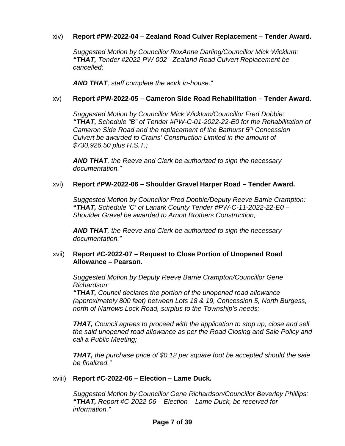## xiv) **Report #PW-2022-04 – Zealand Road Culver Replacement – Tender Award.**

*Suggested Motion by Councillor RoxAnne Darling/Councillor Mick Wicklum: "THAT, Tender #2022-PW-002– Zealand Road Culvert Replacement be cancelled;*

*AND THAT, staff complete the work in-house."*

## xv) **Report #PW-2022-05 – Cameron Side Road Rehabilitation – Tender Award.**

*Suggested Motion by Councillor Mick Wicklum/Councillor Fred Dobbie: "THAT, Schedule "B" of Tender #PW-C-01-2022-22-E0 for the Rehabilitation of Cameron Side Road and the replacement of the Bathurst 5th Concession Culvert be awarded to Crains' Construction Limited in the amount of \$730,926.50 plus H.S.T.;*

*AND THAT, the Reeve and Clerk be authorized to sign the necessary documentation."*

#### xvi) **Report #PW-2022-06 – Shoulder Gravel Harper Road – Tender Award.**

*Suggested Motion by Councillor Fred Dobbie/Deputy Reeve Barrie Crampton: "THAT, Schedule 'C' of Lanark County Tender #PW-C-11-2022-22-E0 – Shoulder Gravel be awarded to Arnott Brothers Construction;* 

*AND THAT, the Reeve and Clerk be authorized to sign the necessary documentation."* 

#### xvii) **Report #C-2022-07 – Request to Close Portion of Unopened Road Allowance – Pearson.**

*Suggested Motion by Deputy Reeve Barrie Crampton/Councillor Gene Richardson:* 

*"THAT, Council declares the portion of the unopened road allowance (approximately 800 feet) between Lots 18 & 19, Concession 5, North Burgess, north of Narrows Lock Road, surplus to the Township's needs;*

*THAT, Council agrees to proceed with the application to stop up, close and sell the said unopened road allowance as per the Road Closing and Sale Policy and call a Public Meeting;*

*THAT, the purchase price of \$0.12 per square foot be accepted should the sale be finalized."*

#### xviii) **Report #C-2022-06 – Election – Lame Duck.**

*Suggested Motion by Councillor Gene Richardson/Councillor Beverley Phillips: "THAT, Report #C-2022-06 – Election – Lame Duck, be received for information."*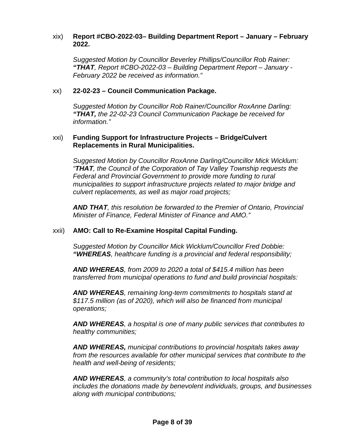#### xix) **Report #CBO-2022-03– Building Department Report – January – February 2022.**

*Suggested Motion by Councillor Beverley Phillips/Councillor Rob Rainer: "THAT, Report #CBO-2022-03 – Building Department Report – January - February 2022 be received as information."*

#### xx) **22-02-23 – Council Communication Package.**

*Suggested Motion by Councillor Rob Rainer/Councillor RoxAnne Darling: "THAT, the 22-02-23 Council Communication Package be received for information."*

#### xxi) **Funding Support for Infrastructure Projects – Bridge/Culvert Replacements in Rural Municipalities.**

*Suggested Motion by Councillor RoxAnne Darling/Councillor Mick Wicklum: "THAT, the Council of the Corporation of Tay Valley Township requests the Federal and Provincial Government to provide more funding to rural municipalities to support infrastructure projects related to major bridge and culvert replacements, as well as major road projects;*

*AND THAT, this resolution be forwarded to the Premier of Ontario, Provincial Minister of Finance, Federal Minister of Finance and AMO."*

#### xxii) **AMO: Call to Re-Examine Hospital Capital Funding.**

*Suggested Motion by Councillor Mick Wicklum/Councillor Fred Dobbie: "WHEREAS, healthcare funding is a provincial and federal responsibility;* 

*AND WHEREAS, from 2009 to 2020 a total of \$415.4 million has been transferred from municipal operations to fund and build provincial hospitals:* 

*AND WHEREAS, remaining long-term commitments to hospitals stand at \$117.5 million (as of 2020), which will also be financed from municipal operations;* 

*AND WHEREAS, a hospital is one of many public services that contributes to healthy communities;* 

*AND WHEREAS, municipal contributions to provincial hospitals takes away from the resources available for other municipal services that contribute to the health and well-being of residents;* 

*AND WHEREAS, a community's total contribution to local hospitals also includes the donations made by benevolent individuals, groups, and businesses along with municipal contributions;*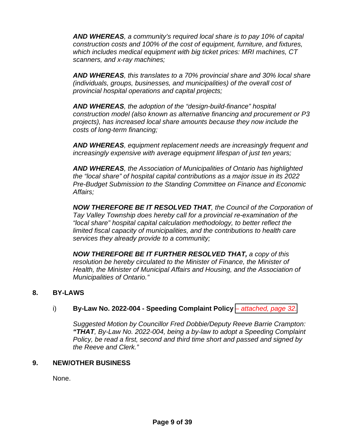*AND WHEREAS, a community's required local share is to pay 10% of capital construction costs and 100% of the cost of equipment, furniture, and fixtures, which includes medical equipment with big ticket prices: MRI machines, CT scanners, and x-ray machines;* 

*AND WHEREAS, this translates to a 70% provincial share and 30% local share (individuals, groups, businesses, and municipalities) of the overall cost of provincial hospital operations and capital projects;* 

*AND WHEREAS, the adoption of the "design-build-finance" hospital construction model (also known as alternative financing and procurement or P3 projects), has increased local share amounts because they now include the costs of long-term financing;* 

*AND WHEREAS, equipment replacement needs are increasingly frequent and increasingly expensive with average equipment lifespan of just ten years;* 

*AND WHEREAS, the Association of Municipalities of Ontario has highlighted the "local share" of hospital capital contributions as a major issue in its 2022 Pre-Budget Submission to the Standing Committee on Finance and Economic Affairs;* 

*NOW THEREFORE BE IT RESOLVED THAT, the Council of the Corporation of Tay Valley Township does hereby call for a provincial re-examination of the "local share" hospital capital calculation methodology, to better reflect the limited fiscal capacity of municipalities, and the contributions to health care services they already provide to a community;* 

*NOW THEREFORE BE IT FURTHER RESOLVED THAT, a copy of this resolution be hereby circulated to the Minister of Finance, the Minister of Health, the Minister of Municipal Affairs and Housing, and the Association of Municipalities of Ontario."*

#### **8. BY-LAWS**

#### i) **By-Law No. 2022-004 - Speeding Complaint Policy** – *[attached, page 32.](#page-31-0)*

*Suggested Motion by Councillor Fred Dobbie/Deputy Reeve Barrie Crampton: "THAT, By-Law No. 2022-004, being a by-law to adopt a Speeding Complaint Policy, be read a first, second and third time short and passed and signed by the Reeve and Clerk."*

#### **9. NEW/OTHER BUSINESS**

None.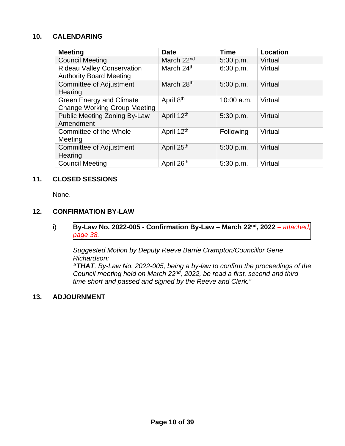# **10. CALENDARING**

| <b>Meeting</b>                                                         | <b>Date</b>            | <b>Time</b>  | Location |
|------------------------------------------------------------------------|------------------------|--------------|----------|
| <b>Council Meeting</b>                                                 | March 22 <sup>nd</sup> | 5:30 p.m.    | Virtual  |
| <b>Rideau Valley Conservation</b><br><b>Authority Board Meeting</b>    | March 24th             | 6:30 p.m.    | Virtual  |
| <b>Committee of Adjustment</b><br>Hearing                              | March 28 <sup>th</sup> | 5:00 p.m.    | Virtual  |
| <b>Green Energy and Climate</b><br><b>Change Working Group Meeting</b> | April 8 <sup>th</sup>  | $10:00$ a.m. | Virtual  |
| <b>Public Meeting Zoning By-Law</b><br>Amendment                       | April 12th             | 5:30 p.m.    | Virtual  |
| Committee of the Whole<br>Meeting                                      | April 12th             | Following    | Virtual  |
| <b>Committee of Adjustment</b><br>Hearing                              | April 25th             | 5:00 p.m.    | Virtual  |
| <b>Council Meeting</b>                                                 | April 26th             | 5:30 p.m.    | Virtual  |

#### **11. CLOSED SESSIONS**

None.

# **12. CONFIRMATION BY-LAW**

i) **[By-Law No. 2022-005 - Confirmation By-Law – March](#page-37-0) 22nd, 2022 –** *attached, page 38.* 

*Suggested Motion by Deputy Reeve Barrie Crampton/Councillor Gene Richardson:* 

*"THAT, By-Law No. 2022-005, being a by-law to confirm the proceedings of the Council meeting held on March 22nd, 2022, be read a first, second and third time short and passed and signed by the Reeve and Clerk."*

# **13. ADJOURNMENT**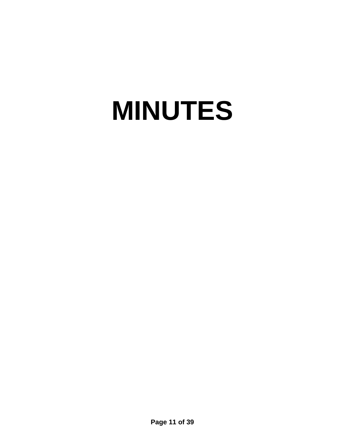# **MINUTES**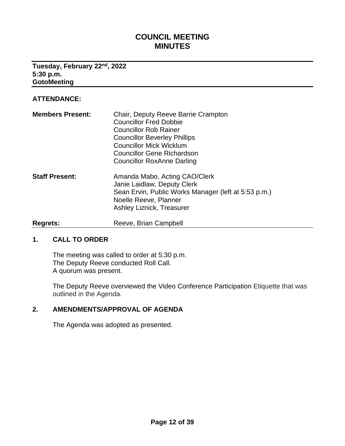# **COUNCIL MEETING MINUTES**

#### <span id="page-11-0"></span>**Tuesday, February 22nd, 2022 5:30 p.m. GotoMeeting**

#### **ATTENDANCE:**

| <b>Members Present:</b> | Chair, Deputy Reeve Barrie Crampton<br><b>Councillor Fred Dobbie</b><br><b>Councillor Rob Rainer</b><br><b>Councillor Beverley Phillips</b><br><b>Councillor Mick Wicklum</b><br><b>Councillor Gene Richardson</b><br><b>Councillor RoxAnne Darling</b> |
|-------------------------|---------------------------------------------------------------------------------------------------------------------------------------------------------------------------------------------------------------------------------------------------------|
| <b>Staff Present:</b>   | Amanda Mabo, Acting CAO/Clerk<br>Janie Laidlaw, Deputy Clerk<br>Sean Ervin, Public Works Manager (left at 5:53 p.m.)<br>Noelle Reeve, Planner<br><b>Ashley Liznick, Treasurer</b>                                                                       |
| <b>Regrets:</b>         | Reeve, Brian Campbell                                                                                                                                                                                                                                   |

#### **1. CALL TO ORDER**

The meeting was called to order at 5:30 p.m. The Deputy Reeve conducted Roll Call. A quorum was present.

The Deputy Reeve overviewed the Video Conference Participation Etiquette that was outlined in the Agenda.

## **2. AMENDMENTS/APPROVAL OF AGENDA**

The Agenda was adopted as presented.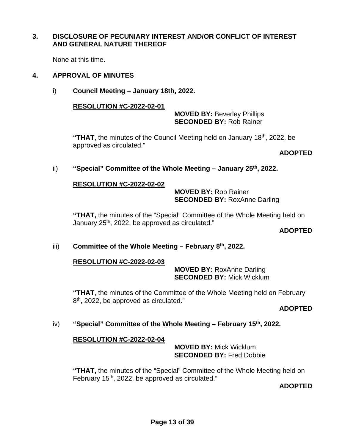#### **3. DISCLOSURE OF PECUNIARY INTEREST AND/OR CONFLICT OF INTEREST AND GENERAL NATURE THEREOF**

None at this time.

#### **4. APPROVAL OF MINUTES**

i) **Council Meeting – January 18th, 2022.**

#### **RESOLUTION #C-2022-02-01**

#### **MOVED BY:** Beverley Phillips **SECONDED BY:** Rob Rainer

**"THAT**, the minutes of the Council Meeting held on January 18th, 2022, be approved as circulated."

#### **ADOPTED**

#### ii) **"Special" Committee of the Whole Meeting – January 25th, 2022.**

#### **RESOLUTION #C-2022-02-02**

 **MOVED BY:** Rob Rainer **SECONDED BY:** RoxAnne Darling

**"THAT,** the minutes of the "Special" Committee of the Whole Meeting held on January  $25<sup>th</sup>$ , 2022, be approved as circulated."

#### **ADOPTED**

#### iii) **Committee of the Whole Meeting – February 8th, 2022.**

#### **RESOLUTION #C-2022-02-03**

 **MOVED BY:** RoxAnne Darling **SECONDED BY:** Mick Wicklum

**"THAT**, the minutes of the Committee of the Whole Meeting held on February 8<sup>th</sup>, 2022, be approved as circulated."

# **ADOPTED**

#### iv) **"Special" Committee of the Whole Meeting – February 15th, 2022.**

#### **RESOLUTION #C-2022-02-04**

 **MOVED BY:** Mick Wicklum **SECONDED BY:** Fred Dobbie

**"THAT,** the minutes of the "Special" Committee of the Whole Meeting held on February  $15<sup>th</sup>$ , 2022, be approved as circulated."

**ADOPTED**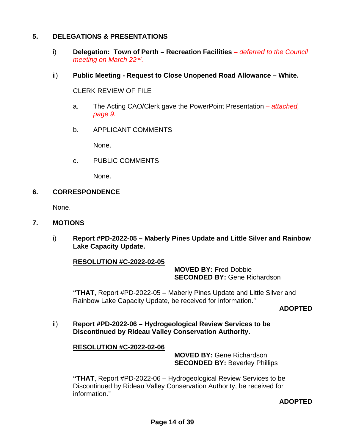## **5. DELEGATIONS & PRESENTATIONS**

- i) **Delegation: Town of Perth Recreation Facilities** *deferred to the Council meeting on March 22nd.*
- ii) **Public Meeting Request to Close Unopened Road Allowance White.**

CLERK REVIEW OF FILE

- a. The Acting CAO/Clerk gave the PowerPoint Presentation  *attached, page 9.*
- b. APPLICANT COMMENTS

None.

c. PUBLIC COMMENTS

None.

#### **6. CORRESPONDENCE**

None.

#### **7. MOTIONS**

i) **Report #PD-2022-05 – Maberly Pines Update and Little Silver and Rainbow Lake Capacity Update.**

#### **RESOLUTION #C-2022-02-05**

 **MOVED BY:** Fred Dobbie  **SECONDED BY:** Gene Richardson

**"THAT**, Report #PD-2022-05 – Maberly Pines Update and Little Silver and Rainbow Lake Capacity Update, be received for information."

#### **ADOPTED**

ii) **Report #PD-2022-06 – Hydrogeological Review Services to be Discontinued by Rideau Valley Conservation Authority.**

#### **RESOLUTION #C-2022-02-06**

 **MOVED BY:** Gene Richardson **SECONDED BY: Beverley Phillips** 

 **"THAT**, Report #PD-2022-06 – Hydrogeological Review Services to be Discontinued by Rideau Valley Conservation Authority, be received for information."

#### **ADOPTED**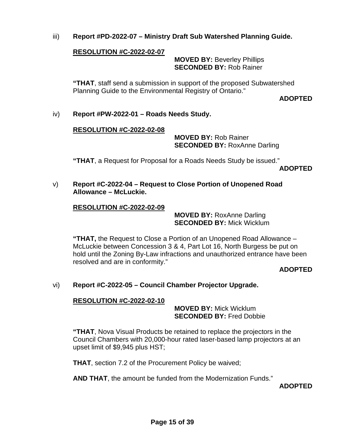iii) **Report #PD-2022-07 – Ministry Draft Sub Watershed Planning Guide.**

## **RESOLUTION #C-2022-02-07**

 **MOVED BY:** Beverley Phillips **SECONDED BY:** Rob Rainer

**"THAT**, staff send a submission in support of the proposed Subwatershed Planning Guide to the Environmental Registry of Ontario."

**ADOPTED**

iv) **Report #PW-2022-01 – Roads Needs Study.**

#### **RESOLUTION #C-2022-02-08**

 **MOVED BY:** Rob Rainer **SECONDED BY: RoxAnne Darling** 

**"THAT**, a Request for Proposal for a Roads Needs Study be issued."

**ADOPTED**

v) **Report #C-2022-04 – Request to Close Portion of Unopened Road Allowance – McLuckie.**

#### **RESOLUTION #C-2022-02-09**

 **MOVED BY:** RoxAnne Darling **SECONDED BY:** Mick Wicklum

**"THAT,** the Request to Close a Portion of an Unopened Road Allowance – McLuckie between Concession 3 & 4, Part Lot 16, North Burgess be put on hold until the Zoning By-Law infractions and unauthorized entrance have been resolved and are in conformity."

**ADOPTED**

#### vi) **Report #C-2022-05 – Council Chamber Projector Upgrade.**

#### **RESOLUTION #C-2022-02-10**

 **MOVED BY:** Mick Wicklum **SECONDED BY:** Fred Dobbie

**"THAT**, Nova Visual Products be retained to replace the projectors in the Council Chambers with 20,000-hour rated laser-based lamp projectors at an upset limit of \$9,945 plus HST;

**THAT**, section 7.2 of the Procurement Policy be waived;

**AND THAT**, the amount be funded from the Modernization Funds."

**ADOPTED**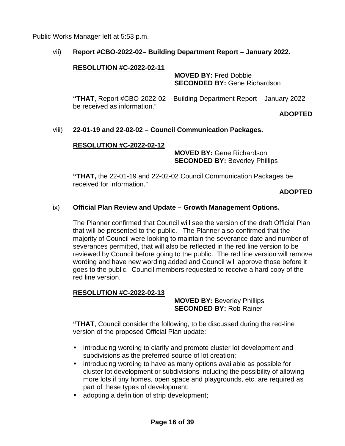Public Works Manager left at 5:53 p.m.

## vii) **Report #CBO-2022-02– Building Department Report – January 2022.**

#### **RESOLUTION #C-2022-02-11**

 **MOVED BY:** Fred Dobbie **SECONDED BY:** Gene Richardson

**"THAT**, Report #CBO-2022-02 – Building Department Report – January 2022 be received as information."

**ADOPTED**

## viii) **22-01-19 and 22-02-02 – Council Communication Packages.**

#### **RESOLUTION #C-2022-02-12**

 **MOVED BY:** Gene Richardson **SECONDED BY:** Beverley Phillips

**"THAT,** the 22-01-19 and 22-02-02 Council Communication Packages be received for information."

**ADOPTED**

#### ix) **Official Plan Review and Update – Growth Management Options.**

The Planner confirmed that Council will see the version of the draft Official Plan that will be presented to the public. The Planner also confirmed that the majority of Council were looking to maintain the severance date and number of severances permitted, that will also be reflected in the red line version to be reviewed by Council before going to the public. The red line version will remove wording and have new wording added and Council will approve those before it goes to the public. Council members requested to receive a hard copy of the red line version.

#### **RESOLUTION #C-2022-02-13**

 **MOVED BY:** Beverley Phillips **SECONDED BY:** Rob Rainer

**"THAT**, Council consider the following, to be discussed during the red-line version of the proposed Official Plan update:

- introducing wording to clarify and promote cluster lot development and subdivisions as the preferred source of lot creation;
- introducing wording to have as many options available as possible for cluster lot development or subdivisions including the possibility of allowing more lots if tiny homes, open space and playgrounds, etc. are required as part of these types of development;
- adopting a definition of strip development;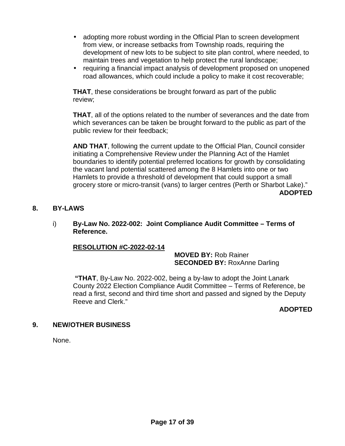- adopting more robust wording in the Official Plan to screen development from view, or increase setbacks from Township roads, requiring the development of new lots to be subject to site plan control, where needed, to maintain trees and vegetation to help protect the rural landscape;
- requiring a financial impact analysis of development proposed on unopened road allowances, which could include a policy to make it cost recoverable;

**THAT**, these considerations be brought forward as part of the public review;

**THAT**, all of the options related to the number of severances and the date from which severances can be taken be brought forward to the public as part of the public review for their feedback;

**AND THAT**, following the current update to the Official Plan, Council consider initiating a Comprehensive Review under the Planning Act of the Hamlet boundaries to identify potential preferred locations for growth by consolidating the vacant land potential scattered among the 8 Hamlets into one or two Hamlets to provide a threshold of development that could support a small grocery store or micro-transit (vans) to larger centres (Perth or Sharbot Lake)." **ADOPTED**

## **8. BY-LAWS**

#### i) **By-Law No. 2022-002: Joint Compliance Audit Committee – Terms of Reference.**

#### **RESOLUTION #C-2022-02-14**

 **MOVED BY:** Rob Rainer **SECONDED BY: RoxAnne Darling** 

**"THAT**, By-Law No. 2022-002, being a by-law to adopt the Joint Lanark County 2022 Election Compliance Audit Committee – Terms of Reference, be read a first, second and third time short and passed and signed by the Deputy Reeve and Clerk."

**ADOPTED**

#### **9. NEW/OTHER BUSINESS**

None.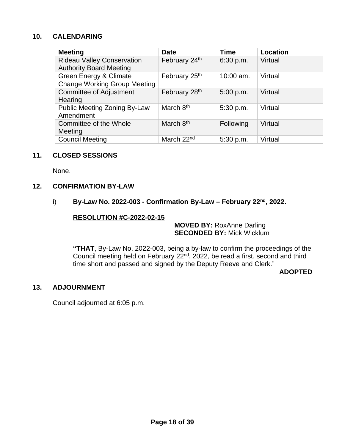# **10. CALENDARING**

| <b>Meeting</b>                                                      | <b>Date</b>            | <b>Time</b> | <b>Location</b> |
|---------------------------------------------------------------------|------------------------|-------------|-----------------|
| <b>Rideau Valley Conservation</b><br><b>Authority Board Meeting</b> | February 24th          | 6:30 p.m.   | Virtual         |
| Green Energy & Climate<br><b>Change Working Group Meeting</b>       | February 25th          | $10:00$ am. | Virtual         |
| <b>Committee of Adjustment</b><br>Hearing                           | February 28th          | 5:00 p.m.   | Virtual         |
| <b>Public Meeting Zoning By-Law</b><br>Amendment                    | March 8 <sup>th</sup>  | 5:30 p.m.   | Virtual         |
| Committee of the Whole<br>Meeting                                   | March 8 <sup>th</sup>  | Following   | Virtual         |
| <b>Council Meeting</b>                                              | March 22 <sup>nd</sup> | 5:30 p.m.   | Virtual         |

## **11. CLOSED SESSIONS**

None.

#### **12. CONFIRMATION BY-LAW**

i) **By-Law No. 2022-003 - Confirmation By-Law – February 22<sup>nd</sup>, 2022.** 

#### **RESOLUTION #C-2022-02-15**

 **MOVED BY:** RoxAnne Darling  **SECONDED BY:** Mick Wicklum

**"THAT**, By-Law No. 2022-003, being a by-law to confirm the proceedings of the Council meeting held on February 22nd, 2022, be read a first, second and third time short and passed and signed by the Deputy Reeve and Clerk."

#### **ADOPTED**

#### **13. ADJOURNMENT**

Council adjourned at 6:05 p.m.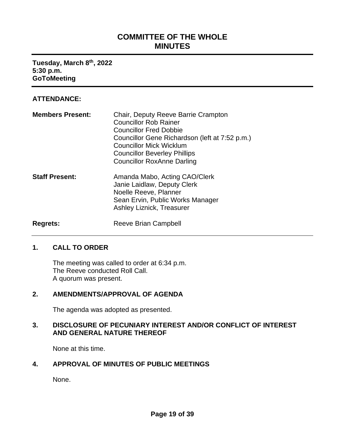# **COMMITTEE OF THE WHOLE MINUTES**

<span id="page-18-0"></span>**Tuesday, March 8th, 2022 5:30 p.m. GoToMeeting**

## **ATTENDANCE:**

| <b>Members Present:</b> | Chair, Deputy Reeve Barrie Crampton<br><b>Councillor Rob Rainer</b><br><b>Councillor Fred Dobbie</b><br>Councillor Gene Richardson (left at 7:52 p.m.)<br><b>Councillor Mick Wicklum</b><br><b>Councillor Beverley Phillips</b><br><b>Councillor RoxAnne Darling</b> |
|-------------------------|----------------------------------------------------------------------------------------------------------------------------------------------------------------------------------------------------------------------------------------------------------------------|
| <b>Staff Present:</b>   | Amanda Mabo, Acting CAO/Clerk<br>Janie Laidlaw, Deputy Clerk<br>Noelle Reeve, Planner<br>Sean Ervin, Public Works Manager<br><b>Ashley Liznick, Treasurer</b>                                                                                                        |
| <b>Regrets:</b>         | Reeve Brian Campbell                                                                                                                                                                                                                                                 |

#### **1. CALL TO ORDER**

The meeting was called to order at 6:34 p.m. The Reeve conducted Roll Call. A quorum was present.

### **2. AMENDMENTS/APPROVAL OF AGENDA**

The agenda was adopted as presented.

## **3. DISCLOSURE OF PECUNIARY INTEREST AND/OR CONFLICT OF INTEREST AND GENERAL NATURE THEREOF**

None at this time.

## **4. APPROVAL OF MINUTES OF PUBLIC MEETINGS**

None.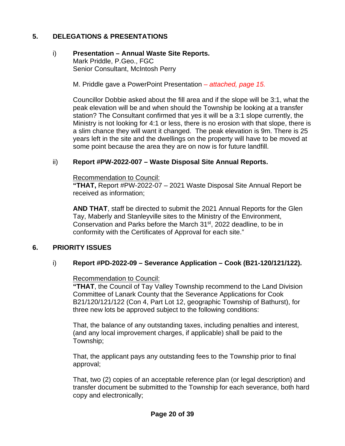# **5. DELEGATIONS & PRESENTATIONS**

#### i) **Presentation – Annual Waste Site Reports.** Mark Priddle, P.Geo., FGC Senior Consultant, McIntosh Perry

M. Priddle gave a PowerPoint Presentation *– attached, page 15.*

Councillor Dobbie asked about the fill area and if the slope will be 3:1, what the peak elevation will be and when should the Township be looking at a transfer station? The Consultant confirmed that yes it will be a 3:1 slope currently, the Ministry is not looking for 4:1 or less, there is no erosion with that slope, there is a slim chance they will want it changed. The peak elevation is 9m. There is 25 years left in the site and the dwellings on the property will have to be moved at some point because the area they are on now is for future landfill.

## ii) **Report #PW-2022-007 – Waste Disposal Site Annual Reports.**

Recommendation to Council:

**"THAT,** Report #PW-2022-07 – 2021 Waste Disposal Site Annual Report be received as information;

**AND THAT**, staff be directed to submit the 2021 Annual Reports for the Glen Tay, Maberly and Stanleyville sites to the Ministry of the Environment, Conservation and Parks before the March 31<sup>st</sup>, 2022 deadline, to be in conformity with the Certificates of Approval for each site."

# **6. PRIORITY ISSUES**

#### i) **Report #PD-2022-09 – Severance Application – Cook (B21-120/121/122).**

#### Recommendation to Council:

**"THAT**, the Council of Tay Valley Township recommend to the Land Division Committee of Lanark County that the Severance Applications for Cook B21/120/121/122 (Con 4, Part Lot 12, geographic Township of Bathurst), for three new lots be approved subject to the following conditions:

That, the balance of any outstanding taxes, including penalties and interest, (and any local improvement charges, if applicable) shall be paid to the Township;

That, the applicant pays any outstanding fees to the Township prior to final approval;

That, two (2) copies of an acceptable reference plan (or legal description) and transfer document be submitted to the Township for each severance, both hard copy and electronically;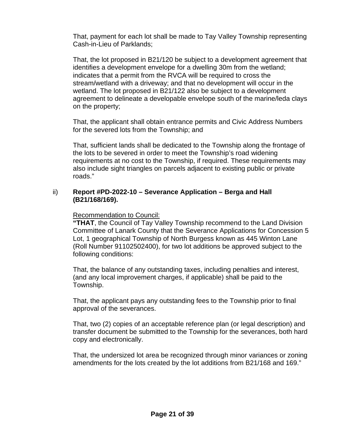That, payment for each lot shall be made to Tay Valley Township representing Cash-in-Lieu of Parklands;

That, the lot proposed in B21/120 be subject to a development agreement that identifies a development envelope for a dwelling 30m from the wetland; indicates that a permit from the RVCA will be required to cross the stream/wetland with a driveway; and that no development will occur in the wetland. The lot proposed in B21/122 also be subject to a development agreement to delineate a developable envelope south of the marine/leda clays on the property;

That, the applicant shall obtain entrance permits and Civic Address Numbers for the severed lots from the Township; and

That, sufficient lands shall be dedicated to the Township along the frontage of the lots to be severed in order to meet the Township's road widening requirements at no cost to the Township, if required. These requirements may also include sight triangles on parcels adjacent to existing public or private roads."

## ii) **Report #PD-2022-10 – Severance Application – Berga and Hall (B21/168/169).**

## Recommendation to Council:

**"THAT**, the Council of Tay Valley Township recommend to the Land Division Committee of Lanark County that the Severance Applications for Concession 5 Lot, 1 geographical Township of North Burgess known as 445 Winton Lane (Roll Number 91102502400), for two lot additions be approved subject to the following conditions:

That, the balance of any outstanding taxes, including penalties and interest, (and any local improvement charges, if applicable) shall be paid to the Township.

That, the applicant pays any outstanding fees to the Township prior to final approval of the severances.

That, two (2) copies of an acceptable reference plan (or legal description) and transfer document be submitted to the Township for the severances, both hard copy and electronically.

That, the undersized lot area be recognized through minor variances or zoning amendments for the lots created by the lot additions from B21/168 and 169."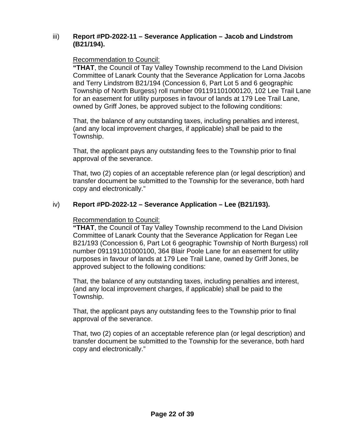#### iii) **Report #PD-2022-11 – Severance Application – Jacob and Lindstrom (B21/194).**

# Recommendation to Council:

**"THAT**, the Council of Tay Valley Township recommend to the Land Division Committee of Lanark County that the Severance Application for Lorna Jacobs and Terry Lindstrom B21/194 (Concession 6, Part Lot 5 and 6 geographic Township of North Burgess) roll number 091191101000120, 102 Lee Trail Lane for an easement for utility purposes in favour of lands at 179 Lee Trail Lane, owned by Griff Jones, be approved subject to the following conditions:

That, the balance of any outstanding taxes, including penalties and interest, (and any local improvement charges, if applicable) shall be paid to the Township.

That, the applicant pays any outstanding fees to the Township prior to final approval of the severance.

That, two (2) copies of an acceptable reference plan (or legal description) and transfer document be submitted to the Township for the severance, both hard copy and electronically."

# iv) **Report #PD-2022-12 – Severance Application – Lee (B21/193).**

# Recommendation to Council:

**"THAT**, the Council of Tay Valley Township recommend to the Land Division Committee of Lanark County that the Severance Application for Regan Lee B21/193 (Concession 6, Part Lot 6 geographic Township of North Burgess) roll number 091191101000100, 364 Blair Poole Lane for an easement for utility purposes in favour of lands at 179 Lee Trail Lane, owned by Griff Jones, be approved subject to the following conditions:

That, the balance of any outstanding taxes, including penalties and interest, (and any local improvement charges, if applicable) shall be paid to the Township.

That, the applicant pays any outstanding fees to the Township prior to final approval of the severance.

That, two (2) copies of an acceptable reference plan (or legal description) and transfer document be submitted to the Township for the severance, both hard copy and electronically."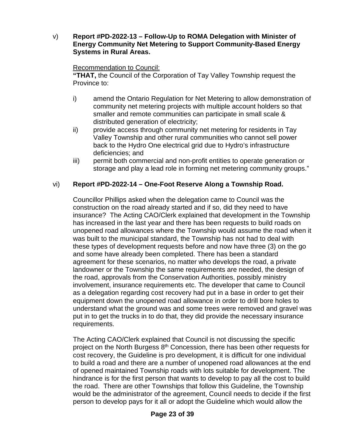v) **Report #PD-2022-13 – Follow-Up to ROMA Delegation with Minister of Energy Community Net Metering to Support Community-Based Energy Systems in Rural Areas.**

## Recommendation to Council:

**"THAT,** the Council of the Corporation of Tay Valley Township request the Province to:

- i) amend the Ontario Regulation for Net Metering to allow demonstration of community net metering projects with multiple account holders so that smaller and remote communities can participate in small scale & distributed generation of electricity;
- ii) provide access through community net metering for residents in Tay Valley Township and other rural communities who cannot sell power back to the Hydro One electrical grid due to Hydro's infrastructure deficiencies; and
- iii) permit both commercial and non-profit entities to operate generation or storage and play a lead role in forming net metering community groups."

# vi) **Report #PD-2022-14 – One-Foot Reserve Along a Township Road.**

Councillor Phillips asked when the delegation came to Council was the construction on the road already started and if so, did they need to have insurance? The Acting CAO/Clerk explained that development in the Township has increased in the last year and there has been requests to build roads on unopened road allowances where the Township would assume the road when it was built to the municipal standard, the Township has not had to deal with these types of development requests before and now have three (3) on the go and some have already been completed. There has been a standard agreement for these scenarios, no matter who develops the road, a private landowner or the Township the same requirements are needed, the design of the road, approvals from the Conservation Authorities, possibly ministry involvement, insurance requirements etc. The developer that came to Council as a delegation regarding cost recovery had put in a base in order to get their equipment down the unopened road allowance in order to drill bore holes to understand what the ground was and some trees were removed and gravel was put in to get the trucks in to do that, they did provide the necessary insurance requirements.

The Acting CAO/Clerk explained that Council is not discussing the specific project on the North Burgess 8<sup>th</sup> Concession, there has been other requests for cost recovery, the Guideline is pro development, it is difficult for one individual to build a road and there are a number of unopened road allowances at the end of opened maintained Township roads with lots suitable for development. The hindrance is for the first person that wants to develop to pay all the cost to build the road. There are other Townships that follow this Guideline, the Township would be the administrator of the agreement, Council needs to decide if the first person to develop pays for it all or adopt the Guideline which would allow the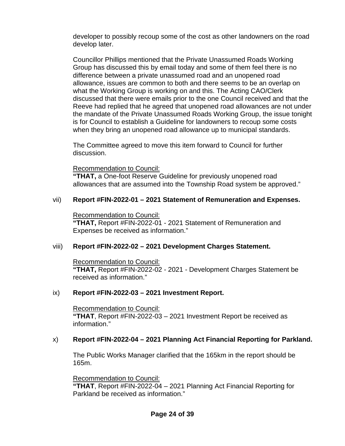developer to possibly recoup some of the cost as other landowners on the road develop later.

Councillor Phillips mentioned that the Private Unassumed Roads Working Group has discussed this by email today and some of them feel there is no difference between a private unassumed road and an unopened road allowance, issues are common to both and there seems to be an overlap on what the Working Group is working on and this. The Acting CAO/Clerk discussed that there were emails prior to the one Council received and that the Reeve had replied that he agreed that unopened road allowances are not under the mandate of the Private Unassumed Roads Working Group, the issue tonight is for Council to establish a Guideline for landowners to recoup some costs when they bring an unopened road allowance up to municipal standards.

The Committee agreed to move this item forward to Council for further discussion.

## Recommendation to Council:

**"THAT,** a One-foot Reserve Guideline for previously unopened road allowances that are assumed into the Township Road system be approved."

# vii) **Report #FIN-2022-01 – 2021 Statement of Remuneration and Expenses.**

Recommendation to Council: **"THAT,** Report #FIN-2022-01 - 2021 Statement of Remuneration and

Expenses be received as information."

# viii) **Report #FIN-2022-02 – 2021 Development Charges Statement.**

Recommendation to Council: **"THAT,** Report #FIN-2022-02 - 2021 - Development Charges Statement be received as information."

# ix) **Report #FIN-2022-03 – 2021 Investment Report.**

Recommendation to Council: **"THAT**, Report #FIN-2022-03 – 2021 Investment Report be received as information."

# x) **Report #FIN-2022-04 – 2021 Planning Act Financial Reporting for Parkland.**

The Public Works Manager clarified that the 165km in the report should be 165m.

Recommendation to Council:

**"THAT**, Report #FIN-2022-04 – 2021 Planning Act Financial Reporting for Parkland be received as information."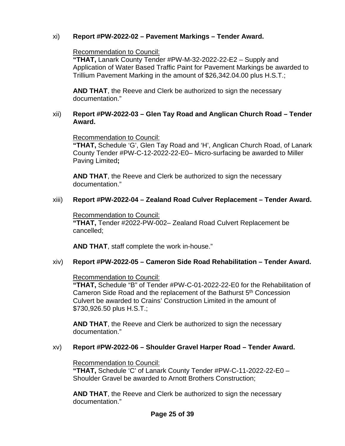# xi) **Report #PW-2022-02 – Pavement Markings – Tender Award.**

## Recommendation to Council:

**"THAT,** Lanark County Tender #PW-M-32-2022-22-E2 – Supply and Application of Water Based Traffic Paint for Pavement Markings be awarded to Trillium Pavement Marking in the amount of \$26,342.04.00 plus H.S.T.;

**AND THAT**, the Reeve and Clerk be authorized to sign the necessary documentation."

#### xii) **Report #PW-2022-03 – Glen Tay Road and Anglican Church Road – Tender Award.**

Recommendation to Council:

**"THAT,** Schedule 'G', Glen Tay Road and 'H', Anglican Church Road, of Lanark County Tender #PW-C-12-2022-22-E0– Micro-surfacing be awarded to Miller Paving Limited**;** 

**AND THAT**, the Reeve and Clerk be authorized to sign the necessary documentation."

# xiii) **Report #PW-2022-04 – Zealand Road Culver Replacement – Tender Award.**

Recommendation to Council: **"THAT,** Tender #2022-PW-002– Zealand Road Culvert Replacement be cancelled;

**AND THAT**, staff complete the work in-house."

# xiv) **Report #PW-2022-05 – Cameron Side Road Rehabilitation – Tender Award.**

Recommendation to Council:

**"THAT,** Schedule "B" of Tender #PW-C-01-2022-22-E0 for the Rehabilitation of Cameron Side Road and the replacement of the Bathurst 5<sup>th</sup> Concession Culvert be awarded to Crains' Construction Limited in the amount of \$730,926.50 plus H.S.T.;

**AND THAT**, the Reeve and Clerk be authorized to sign the necessary documentation."

#### xv) **Report #PW-2022-06 – Shoulder Gravel Harper Road – Tender Award.**

#### Recommendation to Council:

**"THAT,** Schedule 'C' of Lanark County Tender #PW-C-11-2022-22-E0 – Shoulder Gravel be awarded to Arnott Brothers Construction;

**AND THAT**, the Reeve and Clerk be authorized to sign the necessary documentation."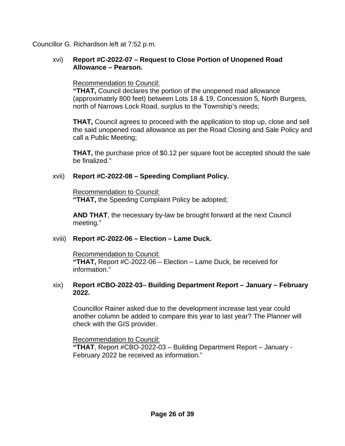Councillor G. Richardson left at 7:52 p.m.

## xvi) **Report #C-2022-07 – Request to Close Portion of Unopened Road Allowance – Pearson.**

## Recommendation to Council:

**"THAT,** Council declares the portion of the unopened road allowance (approximately 800 feet) between Lots 18 & 19, Concession 5, North Burgess, north of Narrows Lock Road, surplus to the Township's needs;

**THAT,** Council agrees to proceed with the application to stop up, close and sell the said unopened road allowance as per the Road Closing and Sale Policy and call a Public Meeting;

**THAT,** the purchase price of \$0.12 per square foot be accepted should the sale be finalized."

# xvii) **Report #C-2022-08 – Speeding Compliant Policy.**

Recommendation to Council: **"THAT,** the Speeding Complaint Policy be adopted;

**AND THAT**, the necessary by-law be brought forward at the next Council meeting."

# xviii) **Report #C-2022-06 – Election – Lame Duck.**

Recommendation to Council: **"THAT,** Report #C-2022-06 – Election – Lame Duck, be received for information."

#### xix) **Report #CBO-2022-03– Building Department Report – January – February 2022.**

Councillor Rainer asked due to the development increase last year could another column be added to compare this year to last year? The Planner will check with the GIS provider.

Recommendation to Council:

**"THAT**, Report #CBO-2022-03 – Building Department Report – January - February 2022 be received as information."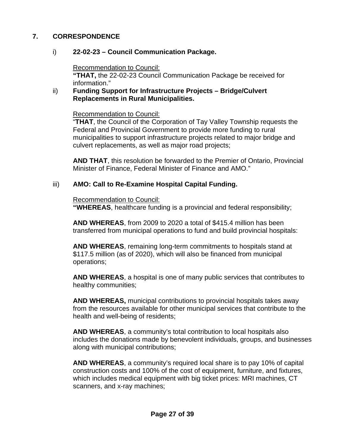# **7. CORRESPONDENCE**

# i) **22-02-23 – Council Communication Package.**

Recommendation to Council:

**"THAT,** the 22-02-23 Council Communication Package be received for information."

#### ii) **Funding Support for Infrastructure Projects – Bridge/Culvert Replacements in Rural Municipalities.**

Recommendation to Council:

"**THAT**, the Council of the Corporation of Tay Valley Township requests the Federal and Provincial Government to provide more funding to rural municipalities to support infrastructure projects related to major bridge and culvert replacements, as well as major road projects;

**AND THAT**, this resolution be forwarded to the Premier of Ontario, Provincial Minister of Finance, Federal Minister of Finance and AMO."

# iii) **AMO: Call to Re-Examine Hospital Capital Funding.**

Recommendation to Council:

**"WHEREAS**, healthcare funding is a provincial and federal responsibility;

**AND WHEREAS**, from 2009 to 2020 a total of \$415.4 million has been transferred from municipal operations to fund and build provincial hospitals:

**AND WHEREAS**, remaining long-term commitments to hospitals stand at \$117.5 million (as of 2020), which will also be financed from municipal operations;

**AND WHEREAS**, a hospital is one of many public services that contributes to healthy communities;

**AND WHEREAS,** municipal contributions to provincial hospitals takes away from the resources available for other municipal services that contribute to the health and well-being of residents;

**AND WHEREAS**, a community's total contribution to local hospitals also includes the donations made by benevolent individuals, groups, and businesses along with municipal contributions;

**AND WHEREAS**, a community's required local share is to pay 10% of capital construction costs and 100% of the cost of equipment, furniture, and fixtures, which includes medical equipment with big ticket prices: MRI machines, CT scanners, and x-ray machines;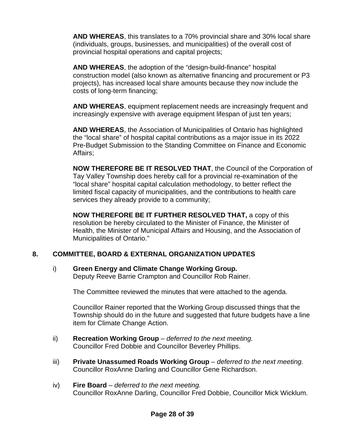**AND WHEREAS**, this translates to a 70% provincial share and 30% local share (individuals, groups, businesses, and municipalities) of the overall cost of provincial hospital operations and capital projects;

**AND WHEREAS**, the adoption of the "design-build-finance" hospital construction model (also known as alternative financing and procurement or P3 projects), has increased local share amounts because they now include the costs of long-term financing;

**AND WHEREAS**, equipment replacement needs are increasingly frequent and increasingly expensive with average equipment lifespan of just ten years;

**AND WHEREAS**, the Association of Municipalities of Ontario has highlighted the "local share" of hospital capital contributions as a major issue in its 2022 Pre-Budget Submission to the Standing Committee on Finance and Economic Affairs;

**NOW THEREFORE BE IT RESOLVED THAT**, the Council of the Corporation of Tay Valley Township does hereby call for a provincial re-examination of the "local share" hospital capital calculation methodology, to better reflect the limited fiscal capacity of municipalities, and the contributions to health care services they already provide to a community;

**NOW THEREFORE BE IT FURTHER RESOLVED THAT,** a copy of this resolution be hereby circulated to the Minister of Finance, the Minister of Health, the Minister of Municipal Affairs and Housing, and the Association of Municipalities of Ontario."

# **8. COMMITTEE, BOARD & EXTERNAL ORGANIZATION UPDATES**

# i) **Green Energy and Climate Change Working Group.**

Deputy Reeve Barrie Crampton and Councillor Rob Rainer.

The Committee reviewed the minutes that were attached to the agenda.

Councillor Rainer reported that the Working Group discussed things that the Township should do in the future and suggested that future budgets have a line item for Climate Change Action.

- ii) **Recreation Working Group**  *deferred to the next meeting.* Councillor Fred Dobbie and Councillor Beverley Phillips.
- iii) **Private Unassumed Roads Working Group**  *deferred to the next meeting.* Councillor RoxAnne Darling and Councillor Gene Richardson.
- iv) **Fire Board**  *deferred to the next meeting.* Councillor RoxAnne Darling, Councillor Fred Dobbie, Councillor Mick Wicklum.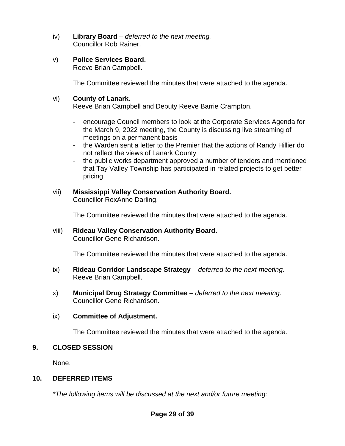- iv) **Library Board**  *deferred to the next meeting.* Councillor Rob Rainer.
- v) **Police Services Board.**

Reeve Brian Campbell.

The Committee reviewed the minutes that were attached to the agenda.

# vi) **County of Lanark.**

Reeve Brian Campbell and Deputy Reeve Barrie Crampton.

- encourage Council members to look at the Corporate Services Agenda for the March 9, 2022 meeting, the County is discussing live streaming of meetings on a permanent basis
- the Warden sent a letter to the Premier that the actions of Randy Hillier do not reflect the views of Lanark County
- the public works department approved a number of tenders and mentioned that Tay Valley Township has participated in related projects to get better pricing
- vii) **Mississippi Valley Conservation Authority Board.** Councillor RoxAnne Darling.

The Committee reviewed the minutes that were attached to the agenda.

viii) **Rideau Valley Conservation Authority Board.** Councillor Gene Richardson.

The Committee reviewed the minutes that were attached to the agenda.

- ix) **Rideau Corridor Landscape Strategy**  *deferred to the next meeting.* Reeve Brian Campbell.
- x) **Municipal Drug Strategy Committee**  *deferred to the next meeting.* Councillor Gene Richardson.

# ix) **Committee of Adjustment.**

The Committee reviewed the minutes that were attached to the agenda.

# **9. CLOSED SESSION**

None.

# **10. DEFERRED ITEMS**

*\*The following items will be discussed at the next and/or future meeting:*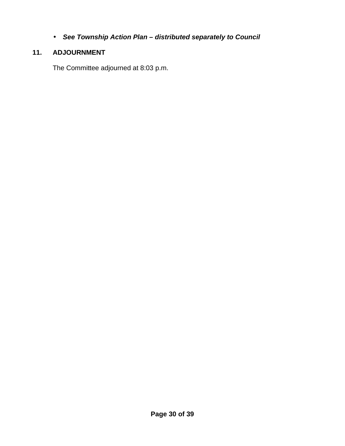*See Township Action Plan – distributed separately to Council*  $\mathcal{L}^{\text{max}}$ 

# **11. ADJOURNMENT**

The Committee adjourned at 8:03 p.m.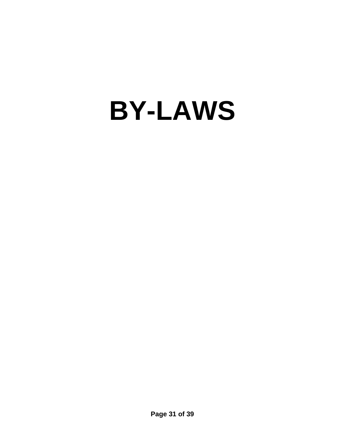# **BY-LAWS**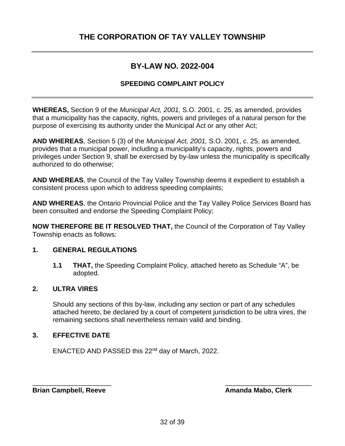# <span id="page-31-0"></span>**THE CORPORATION OF TAY VALLEY TOWNSHIP**

# **BY-LAW NO. 2022-004**

#### **SPEEDING COMPLAINT POLICY**

**WHEREAS,** Section 9 of the *Municipal Act, 2001,* S.O. 2001, c. 25, as amended, provides that a municipality has the capacity, rights, powers and privileges of a natural person for the purpose of exercising its authority under the Municipal Act or any other Act;

**AND WHEREAS**, Section 5 (3) of the *Municipal Act, 2001,* S.O. 2001, c. 25, as amended, provides that a municipal power, including a municipality's capacity, rights, powers and privileges under Section 9, shall be exercised by by-law unless the municipality is specifically authorized to do otherwise;

**AND WHEREAS**, the Council of the Tay Valley Township deems it expedient to establish a consistent process upon which to address speeding complaints;

**AND WHEREAS**, the Ontario Provincial Police and the Tay Valley Police Services Board has been consulted and endorse the Speeding Complaint Policy;

**NOW THEREFORE BE IT RESOLVED THAT,** the Council of the Corporation of Tay Valley Township enacts as follows:

#### **1. GENERAL REGULATIONS**

**1.1 THAT,** the Speeding Complaint Policy, attached hereto as Schedule "A", be adopted.

#### **2. ULTRA VIRES**

Should any sections of this by-law, including any section or part of any schedules attached hereto, be declared by a court of competent jurisdiction to be ultra vires, the remaining sections shall nevertheless remain valid and binding.

#### **3. EFFECTIVE DATE**

ENACTED AND PASSED this 22nd day of March, 2022.

**Brian Campbell, Reeve Amanda Mabo, Clerk** 

\_\_\_\_\_\_\_\_\_\_\_\_\_\_\_\_\_\_\_\_\_ \_\_\_\_\_\_\_\_\_\_\_\_\_\_\_\_\_\_\_\_\_\_\_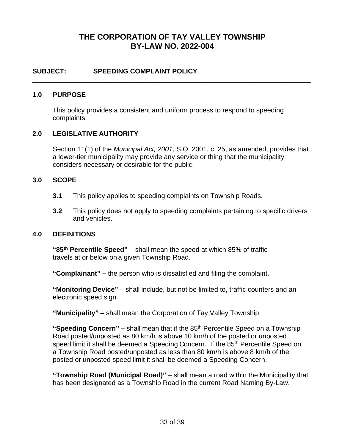# **THE CORPORATION OF TAY VALLEY TOWNSHIP BY-LAW NO. 2022-004**

\_\_\_\_\_\_\_\_\_\_\_\_\_\_\_\_\_\_\_\_\_\_\_\_\_\_\_\_\_\_\_\_\_\_\_\_\_\_\_\_\_\_\_\_\_\_\_\_\_\_\_\_\_\_\_\_\_\_\_\_\_\_\_\_\_\_\_\_\_\_\_\_\_\_

#### **SUBJECT: SPEEDING COMPLAINT POLICY**

#### **1.0 PURPOSE**

This policy provides a consistent and uniform process to respond to speeding complaints.

#### **2.0 LEGISLATIVE AUTHORITY**

Section 11(1) of the *Municipal Act, 2001,* S.O. 2001, c. 25, as amended, provides that a lower-tier municipality may provide any service or thing that the municipality considers necessary or desirable for the public.

#### **3.0 SCOPE**

- **3.1** This policy applies to speeding complaints on Township Roads.
- **3.2** This policy does not apply to speeding complaints pertaining to specific drivers and vehicles.

#### **4.0 DEFINITIONS**

**"85th Percentile Speed"** – shall mean the speed at which 85% of traffic travels at or below on a given Township Road.

**"Complainant" –** the person who is dissatisfied and filing the complaint.

**"Monitoring Device"** – shall include, but not be limited to, traffic counters and an electronic speed sign.

**"Municipality"** – shall mean the Corporation of Tay Valley Township.

**"Speeding Concern" –** shall mean that if the 85th Percentile Speed on a Township Road posted/unposted as 80 km/h is above 10 km/h of the posted or unposted speed limit it shall be deemed a Speeding Concern. If the 85<sup>th</sup> Percentile Speed on a Township Road posted/unposted as less than 80 km/h is above 8 km/h of the posted or unposted speed limit it shall be deemed a Speeding Concern.

**"Township Road (Municipal Road)"** – shall mean a road within the Municipality that has been designated as a Township Road in the current Road Naming By-Law.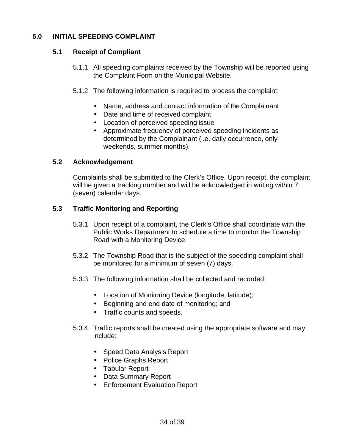#### **5.0 INITIAL SPEEDING COMPLAINT**

#### **5.1 Receipt of Compliant**

- 5.1.1 All speeding complaints received by the Township will be reported using the Complaint Form on the Municipal Website.
- 5.1.2 The following information is required to process the complaint:
	- Name, address and contact information of the Complainant  $\mathbf{r}$  .
	- Date and time of received complaint
	- Location of perceived speeding issue
	- Approximate frequency of perceived speeding incidents as determined by the Complainant (i.e. daily occurrence, only weekends, summer months).

#### **5.2 Acknowledgement**

Complaints shall be submitted to the Clerk's Office. Upon receipt, the complaint will be given a tracking number and will be acknowledged in writing within 7 (seven) calendar days.

## **5.3 Traffic Monitoring and Reporting**

- 5.3.1 Upon receipt of a complaint, the Clerk's Office shall coordinate with the Public Works Department to schedule a time to monitor the Township Road with a Monitoring Device.
- 5.3.2 The Township Road that is the subject of the speeding complaint shall be monitored for a minimum of seven (7) days.
- 5.3.3 The following information shall be collected and recorded:
	- Location of Monitoring Device (longitude, latitude);
	- Beginning and end date of monitoring; and
	- Traffic counts and speeds.  $\mathcal{L}^{\text{max}}$
- 5.3.4 Traffic reports shall be created using the appropriate software and may include:
	- Speed Data Analysis Report
	- Police Graphs Report
	- Tabular Report
	- Data Summary Report
	- Enforcement Evaluation Report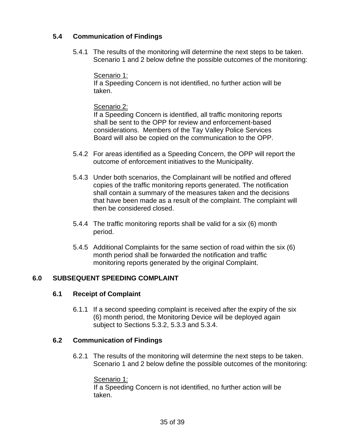# **5.4 Communication of Findings**

5.4.1 The results of the monitoring will determine the next steps to be taken. Scenario 1 and 2 below define the possible outcomes of the monitoring:

## Scenario 1:

If a Speeding Concern is not identified, no further action will be taken.

## Scenario 2:

If a Speeding Concern is identified, all traffic monitoring reports shall be sent to the OPP for review and enforcement-based considerations. Members of the Tay Valley Police Services Board will also be copied on the communication to the OPP.

- 5.4.2 For areas identified as a Speeding Concern, the OPP will report the outcome of enforcement initiatives to the Municipality.
- 5.4.3 Under both scenarios, the Complainant will be notified and offered copies of the traffic monitoring reports generated. The notification shall contain a summary of the measures taken and the decisions that have been made as a result of the complaint. The complaint will then be considered closed.
- 5.4.4 The traffic monitoring reports shall be valid for a six (6) month period.
- 5.4.5 Additional Complaints for the same section of road within the six (6) month period shall be forwarded the notification and traffic monitoring reports generated by the original Complaint.

# **6.0 SUBSEQUENT SPEEDING COMPLAINT**

# **6.1 Receipt of Complaint**

6.1.1 If a second speeding complaint is received after the expiry of the six (6) month period, the Monitoring Device will be deployed again subject to Sections 5.3.2, 5.3.3 and 5.3.4.

# **6.2 Communication of Findings**

6.2.1 The results of the monitoring will determine the next steps to be taken. Scenario 1 and 2 below define the possible outcomes of the monitoring:

# Scenario 1:

If a Speeding Concern is not identified, no further action will be taken.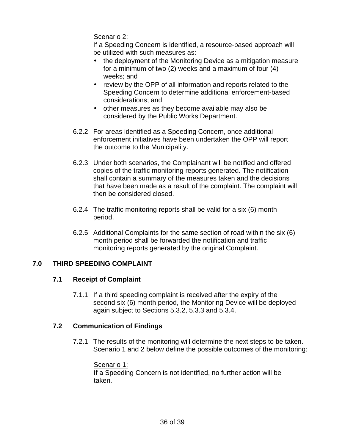## Scenario 2:

If a Speeding Concern is identified, a resource-based approach will be utilized with such measures as:

- the deployment of the Monitoring Device as a mitigation measure  $\mathbf{r}$ for a minimum of two (2) weeks and a maximum of four (4) weeks; and
- review by the OPP of all information and reports related to the Speeding Concern to determine additional enforcement-based considerations; and
- $\mathcal{L}^{\text{max}}$ other measures as they become available may also be considered by the Public Works Department.
- 6.2.2 For areas identified as a Speeding Concern, once additional enforcement initiatives have been undertaken the OPP will report the outcome to the Municipality.
- 6.2.3 Under both scenarios, the Complainant will be notified and offered copies of the traffic monitoring reports generated. The notification shall contain a summary of the measures taken and the decisions that have been made as a result of the complaint. The complaint will then be considered closed.
- 6.2.4 The traffic monitoring reports shall be valid for a six (6) month period.
- 6.2.5 Additional Complaints for the same section of road within the six (6) month period shall be forwarded the notification and traffic monitoring reports generated by the original Complaint.

# **7.0 THIRD SPEEDING COMPLAINT**

# **7.1 Receipt of Complaint**

7.1.1 If a third speeding complaint is received after the expiry of the second six (6) month period, the Monitoring Device will be deployed again subject to Sections 5.3.2, 5.3.3 and 5.3.4.

#### **7.2 Communication of Findings**

7.2.1 The results of the monitoring will determine the next steps to be taken. Scenario 1 and 2 below define the possible outcomes of the monitoring:

#### Scenario 1:

If a Speeding Concern is not identified, no further action will be taken.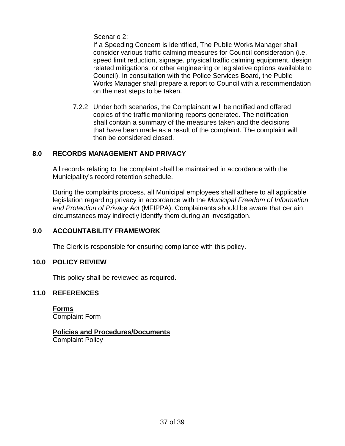Scenario 2:

If a Speeding Concern is identified, The Public Works Manager shall consider various traffic calming measures for Council consideration (i.e. speed limit reduction, signage, physical traffic calming equipment, design related mitigations, or other engineering or legislative options available to Council). In consultation with the Police Services Board, the Public Works Manager shall prepare a report to Council with a recommendation on the next steps to be taken.

7.2.2 Under both scenarios, the Complainant will be notified and offered copies of the traffic monitoring reports generated. The notification shall contain a summary of the measures taken and the decisions that have been made as a result of the complaint. The complaint will then be considered closed.

# **8.0 RECORDS MANAGEMENT AND PRIVACY**

All records relating to the complaint shall be maintained in accordance with the Municipality's record retention schedule.

During the complaints process, all Municipal employees shall adhere to all applicable legislation regarding privacy in accordance with the *Municipal Freedom of Information and Protection of Privacy Act* (MFIPPA). Complainants should be aware that certain circumstances may indirectly identify them during an investigation.

# **9.0 ACCOUNTABILITY FRAMEWORK**

The Clerk is responsible for ensuring compliance with this policy.

#### **10.0 POLICY REVIEW**

This policy shall be reviewed as required.

# **11.0 REFERENCES**

**Forms** Complaint Form

# **Policies and Procedures/Documents**

Complaint Policy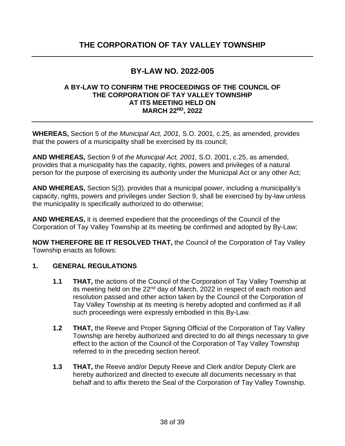# **BY-LAW NO. 2022-005**

#### <span id="page-37-0"></span>**A BY-LAW TO CONFIRM THE PROCEEDINGS OF THE COUNCIL OF THE CORPORATION OF TAY VALLEY TOWNSHIP AT ITS MEETING HELD ON MARCH 22ND, 2022**

**WHEREAS,** Section 5 of *the Municipal Act, 2001,* S.O. 2001, c.25, as amended, provides that the powers of a municipality shall be exercised by its council;

**AND WHEREAS,** Section 9 of *the Municipal Act, 2001,* S.O. 2001, c.25, as amended, provides that a municipality has the capacity, rights, powers and privileges of a natural person for the purpose of exercising its authority under the Municipal Act or any other Act;

**AND WHEREAS,** Section 5(3), provides that a municipal power, including a municipality's capacity, rights, powers and privileges under Section 9, shall be exercised by by-law unless the municipality is specifically authorized to do otherwise;

**AND WHEREAS,** it is deemed expedient that the proceedings of the Council of the Corporation of Tay Valley Township at its meeting be confirmed and adopted by By-Law;

**NOW THEREFORE BE IT RESOLVED THAT,** the Council of the Corporation of Tay Valley Township enacts as follows:

# **1. GENERAL REGULATIONS**

- **1.1 THAT,** the actions of the Council of the Corporation of Tay Valley Township at its meeting held on the 22<sup>nd</sup> day of March, 2022 in respect of each motion and resolution passed and other action taken by the Council of the Corporation of Tay Valley Township at its meeting is hereby adopted and confirmed as if all such proceedings were expressly embodied in this By-Law.
- **1.2 THAT,** the Reeve and Proper Signing Official of the Corporation of Tay Valley Township are hereby authorized and directed to do all things necessary to give effect to the action of the Council of the Corporation of Tay Valley Township referred to in the preceding section hereof.
- **1.3 THAT,** the Reeve and/or Deputy Reeve and Clerk and/or Deputy Clerk are hereby authorized and directed to execute all documents necessary in that behalf and to affix thereto the Seal of the Corporation of Tay Valley Township.